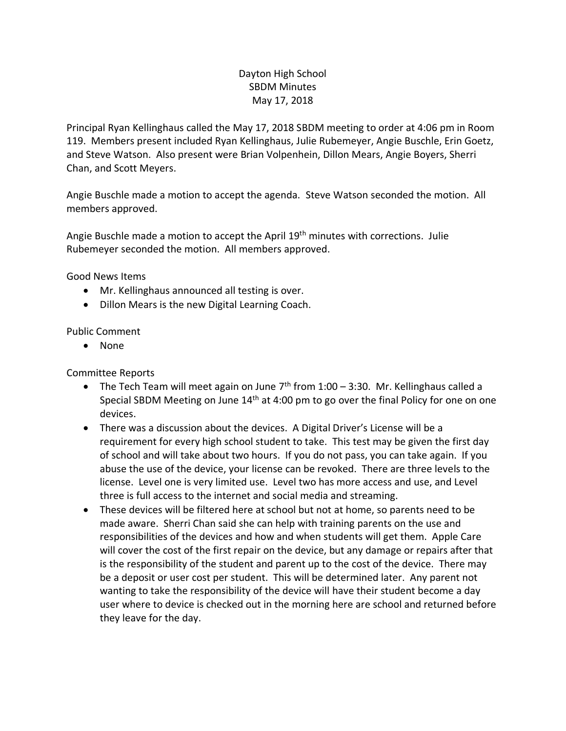## Dayton High School SBDM Minutes May 17, 2018

Principal Ryan Kellinghaus called the May 17, 2018 SBDM meeting to order at 4:06 pm in Room 119. Members present included Ryan Kellinghaus, Julie Rubemeyer, Angie Buschle, Erin Goetz, and Steve Watson. Also present were Brian Volpenhein, Dillon Mears, Angie Boyers, Sherri Chan, and Scott Meyers.

Angie Buschle made a motion to accept the agenda. Steve Watson seconded the motion. All members approved.

Angie Buschle made a motion to accept the April 19<sup>th</sup> minutes with corrections. Julie Rubemeyer seconded the motion. All members approved.

Good News Items

- Mr. Kellinghaus announced all testing is over.
- Dillon Mears is the new Digital Learning Coach.

## Public Comment

• None

Committee Reports

- The Tech Team will meet again on June  $7<sup>th</sup>$  from 1:00 3:30. Mr. Kellinghaus called a Special SBDM Meeting on June  $14<sup>th</sup>$  at 4:00 pm to go over the final Policy for one on one devices.
- There was a discussion about the devices. A Digital Driver's License will be a requirement for every high school student to take. This test may be given the first day of school and will take about two hours. If you do not pass, you can take again. If you abuse the use of the device, your license can be revoked. There are three levels to the license. Level one is very limited use. Level two has more access and use, and Level three is full access to the internet and social media and streaming.
- These devices will be filtered here at school but not at home, so parents need to be made aware. Sherri Chan said she can help with training parents on the use and responsibilities of the devices and how and when students will get them. Apple Care will cover the cost of the first repair on the device, but any damage or repairs after that is the responsibility of the student and parent up to the cost of the device. There may be a deposit or user cost per student. This will be determined later. Any parent not wanting to take the responsibility of the device will have their student become a day user where to device is checked out in the morning here are school and returned before they leave for the day.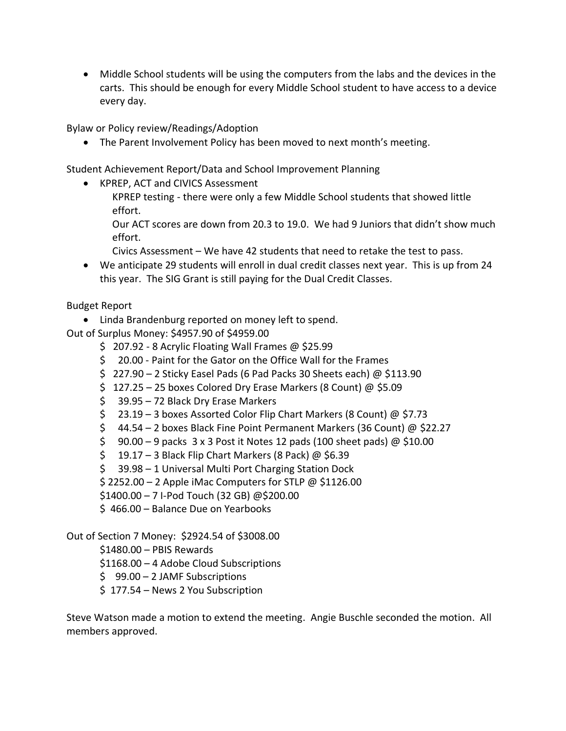• Middle School students will be using the computers from the labs and the devices in the carts. This should be enough for every Middle School student to have access to a device every day.

Bylaw or Policy review/Readings/Adoption

• The Parent Involvement Policy has been moved to next month's meeting.

Student Achievement Report/Data and School Improvement Planning

- KPREP, ACT and CIVICS Assessment
	- KPREP testing there were only a few Middle School students that showed little effort.

Our ACT scores are down from 20.3 to 19.0. We had 9 Juniors that didn't show much effort.

- Civics Assessment We have 42 students that need to retake the test to pass.
- We anticipate 29 students will enroll in dual credit classes next year. This is up from 24 this year. The SIG Grant is still paying for the Dual Credit Classes.

Budget Report

• Linda Brandenburg reported on money left to spend.

Out of Surplus Money: \$4957.90 of \$4959.00

- \$ 207.92 8 Acrylic Floating Wall Frames @ \$25.99
- \$ 20.00 Paint for the Gator on the Office Wall for the Frames
- \$ 227.90 2 Sticky Easel Pads (6 Pad Packs 30 Sheets each) @ \$113.90
- $$ 127.25 25$  boxes Colored Dry Erase Markers (8 Count) @ \$5.09
- \$ 39.95 72 Black Dry Erase Markers
- \$ 23.19 3 boxes Assorted Color Flip Chart Markers (8 Count) @ \$7.73
- \$ 44.54 2 boxes Black Fine Point Permanent Markers (36 Count) @ \$22.27
- $\frac{2}{5}$  90.00 9 packs 3 x 3 Post it Notes 12 pads (100 sheet pads) @  $\frac{2}{3}10.00$
- $\frac{19.17 3}{19.17 3}$  Black Flip Chart Markers (8 Pack) @ \$6.39
- \$ 39.98 1 Universal Multi Port Charging Station Dock

 $$2252.00 - 2$  Apple iMac Computers for STLP @  $$1126.00$ 

\$1400.00 – 7 I-Pod Touch (32 GB) @\$200.00

\$ 466.00 – Balance Due on Yearbooks

Out of Section 7 Money: \$2924.54 of \$3008.00

\$1480.00 – PBIS Rewards

\$1168.00 – 4 Adobe Cloud Subscriptions

- \$ 99.00 2 JAMF Subscriptions
- \$ 177.54 News 2 You Subscription

Steve Watson made a motion to extend the meeting. Angie Buschle seconded the motion. All members approved.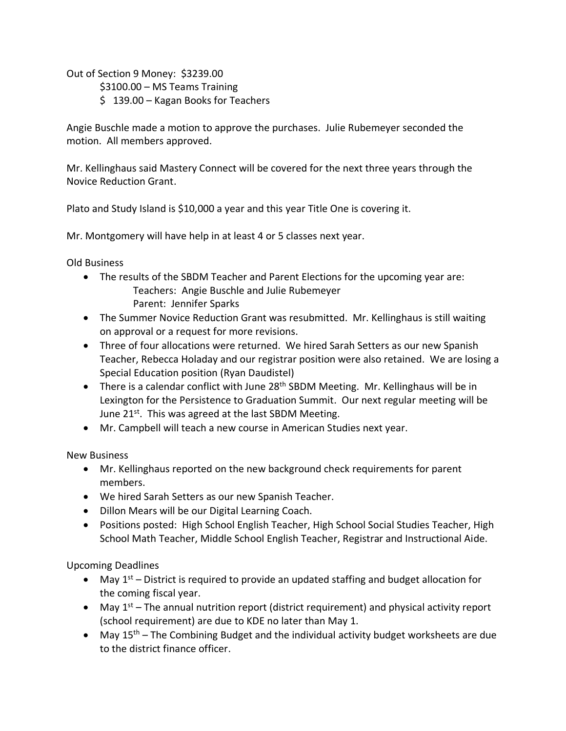Out of Section 9 Money: \$3239.00

\$3100.00 – MS Teams Training

\$ 139.00 – Kagan Books for Teachers

Angie Buschle made a motion to approve the purchases. Julie Rubemeyer seconded the motion. All members approved.

Mr. Kellinghaus said Mastery Connect will be covered for the next three years through the Novice Reduction Grant.

Plato and Study Island is \$10,000 a year and this year Title One is covering it.

Mr. Montgomery will have help in at least 4 or 5 classes next year.

Old Business

- The results of the SBDM Teacher and Parent Elections for the upcoming year are: Teachers: Angie Buschle and Julie Rubemeyer Parent: Jennifer Sparks
- The Summer Novice Reduction Grant was resubmitted. Mr. Kellinghaus is still waiting on approval or a request for more revisions.
- Three of four allocations were returned. We hired Sarah Setters as our new Spanish Teacher, Rebecca Holaday and our registrar position were also retained. We are losing a Special Education position (Ryan Daudistel)
- There is a calendar conflict with June 28<sup>th</sup> SBDM Meeting. Mr. Kellinghaus will be in Lexington for the Persistence to Graduation Summit. Our next regular meeting will be June 21<sup>st</sup>. This was agreed at the last SBDM Meeting.
- Mr. Campbell will teach a new course in American Studies next year.

New Business

- Mr. Kellinghaus reported on the new background check requirements for parent members.
- We hired Sarah Setters as our new Spanish Teacher.
- Dillon Mears will be our Digital Learning Coach.
- Positions posted: High School English Teacher, High School Social Studies Teacher, High School Math Teacher, Middle School English Teacher, Registrar and Instructional Aide.

Upcoming Deadlines

- May  $1^{st}$  District is required to provide an updated staffing and budget allocation for the coming fiscal year.
- May  $1<sup>st</sup>$  The annual nutrition report (district requirement) and physical activity report (school requirement) are due to KDE no later than May 1.
- May  $15<sup>th</sup>$  The Combining Budget and the individual activity budget worksheets are due to the district finance officer.